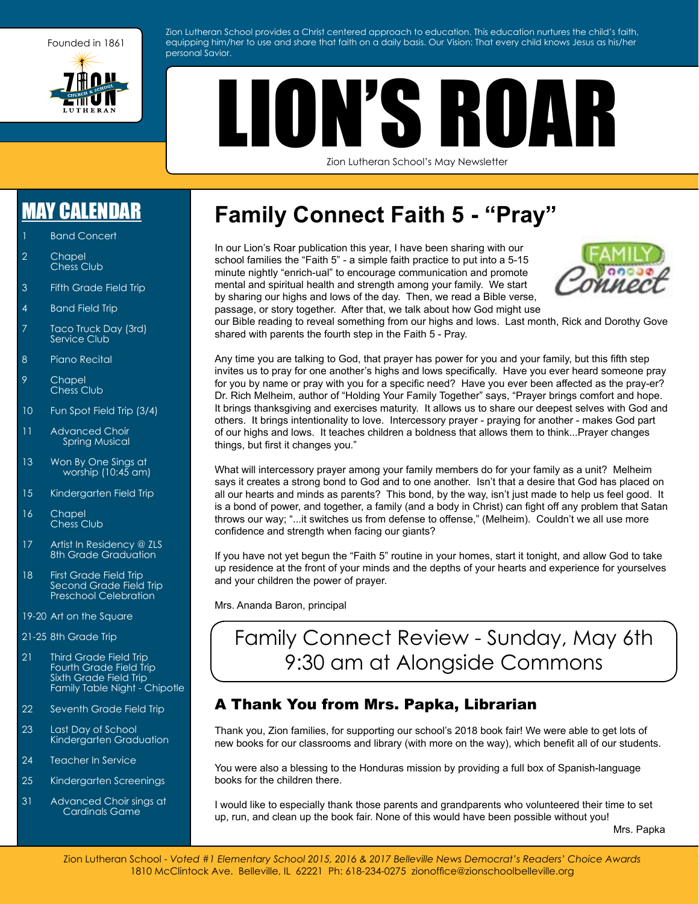

Zion Lutheran School provides a Christ centered approach to education. This education nurtures the child's faith, equipping him/her to use and share that faith on a daily basis. Our Vision: That every child knows Jesus as his/her personal Savior.

# LION'S ROA

Zion Lutheran School's May Newsletter

### [MAY CALENDAR](http://zionschoolbelleville.org/home-links/school-calendar/)

- **Band Concert**
- 2 Chapel Chess Club
- 3 Fifth Grade Field Trip
- 4 Band Field Trip
- 7 Taco Truck Day (3rd) Service Club
- 8 Piano Recital
- 9 Chapel Chess Club
- 10 Fun Spot Field Trip (3/4)
- 11 Advanced Choir Spring Musical
- 13 Won By One Sings at worship (10:45 am)
- 15 Kindergarten Field Trip
- 16 Chapel Chess Club
- 17 Artist In Residency @ ZLS 8th Grade Graduation
- 18 First Grade Field Trip Second Grade Field Trip Preschool Celebration
- 19-20 Art on the Square
- 21-25 8th Grade Trip
- 21 Third Grade Field Trip Fourth Grade Field Trip Sixth Grade Field Trip Family Table Night - Chipotle
- 22 Seventh Grade Field Trip
- 23 Last Day of School Kindergarten Graduation
- 24 Teacher In Service
- 25 Kindergarten Screenings
- 31 Advanced Choir sings at Cardinals Game

### **Family Connect Faith 5 - "Pray"**

In our Lion's Roar publication this year, I have been sharing with our school families the "Faith 5" - a simple faith practice to put into a 5-15 minute nightly "enrich-ual" to encourage communication and promote mental and spiritual health and strength among your family. We start by sharing our highs and lows of the day. Then, we read a Bible verse, passage, or story together. After that, we talk about how God might use



our Bible reading to reveal something from our highs and lows. Last month, Rick and Dorothy Gove shared with parents the fourth step in the Faith 5 - Pray.

Any time you are talking to God, that prayer has power for you and your family, but this fifth step invites us to pray for one another's highs and lows specifically. Have you ever heard someone pray for you by name or pray with you for a specific need? Have you ever been affected as the pray-er? Dr. Rich Melheim, author of "Holding Your Family Together" says, "Prayer brings comfort and hope. It brings thanksgiving and exercises maturity. It allows us to share our deepest selves with God and others. It brings intentionality to love. Intercessory prayer - praying for another - makes God part of our highs and lows. It teaches children a boldness that allows them to think...Prayer changes things, but first it changes you."

What will intercessory prayer among your family members do for your family as a unit? Melheim says it creates a strong bond to God and to one another. Isn't that a desire that God has placed on all our hearts and minds as parents? This bond, by the way, isn't just made to help us feel good. It is a bond of power, and together, a family (and a body in Christ) can fight off any problem that Satan throws our way; "...it switches us from defense to offense," (Melheim). Couldn't we all use more confidence and strength when facing our giants?

If you have not yet begun the "Faith 5" routine in your homes, start it tonight, and allow God to take up residence at the front of your minds and the depths of your hearts and experience for yourselves and your children the power of prayer.

Mrs. Ananda Baron, principal

### Family Connect Review - Sunday, May 6th 9:30 am at Alongside Commons

#### A Thank You from Mrs. Papka, Librarian

Thank you, Zion families, for supporting our school's 2018 book fair! We were able to get lots of new books for our classrooms and library (with more on the way), which benefit all of our students.

You were also a blessing to the Honduras mission by providing a full box of Spanish-language books for the children there.

I would like to especially thank those parents and grandparents who volunteered their time to set up, run, and clean up the book fair. None of this would have been possible without you!

Mrs. Papka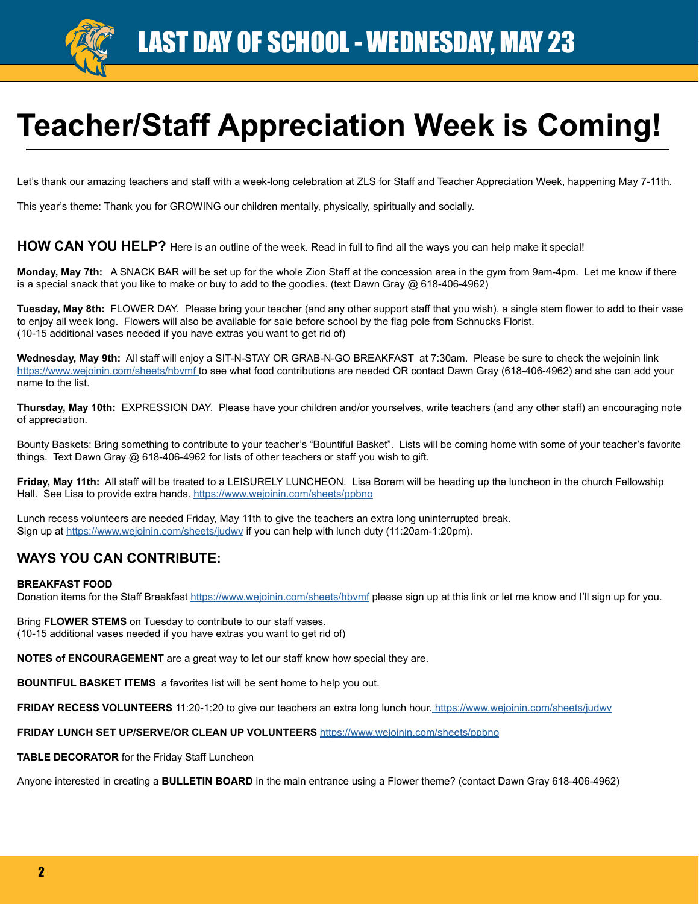

# **Teacher/Staff Appreciation Week is Coming!**

Let's thank our amazing teachers and staff with a week-long celebration at ZLS for Staff and Teacher Appreciation Week, happening May 7-11th.

This year's theme: Thank you for GROWING our children mentally, physically, spiritually and socially.

#### **HOW CAN YOU HELP?** Here is an outline of the week. Read in full to find all the ways you can help make it special!

**Monday, May 7th:** A SNACK BAR will be set up for the whole Zion Staff at the concession area in the gym from 9am-4pm. Let me know if there is a special snack that you like to make or buy to add to the goodies. (text Dawn Gray @ 618-406-4962)

**Tuesday, May 8th:** FLOWER DAY. Please bring your teacher (and any other support staff that you wish), a single stem flower to add to their vase to enjoy all week long. Flowers will also be available for sale before school by the flag pole from Schnucks Florist. (10-15 additional vases needed if you have extras you want to get rid of)

**Wednesday, May 9th:** All staff will enjoy a SIT-N-STAY OR GRAB-N-GO BREAKFAST at 7:30am. Please be sure to check the wejoinin link <https://www.wejoinin.com/sheets/hbvmf>to see what food contributions are needed OR contact Dawn Gray (618-406-4962) and she can add your name to the list.

**Thursday, May 10th:** EXPRESSION DAY. Please have your children and/or yourselves, write teachers (and any other staff) an encouraging note of appreciation.

Bounty Baskets: Bring something to contribute to your teacher's "Bountiful Basket". Lists will be coming home with some of your teacher's favorite things. Text Dawn Gray @ 618-406-4962 for lists of other teachers or staff you wish to gift.

**Friday, May 11th:** All staff will be treated to a LEISURELY LUNCHEON. Lisa Borem will be heading up the luncheon in the church Fellowship Hall. See Lisa to provide extra hands. <https://www.wejoinin.com/sheets/ppbno>

Lunch recess volunteers are needed Friday, May 11th to give the teachers an extra long uninterrupted break. Sign up at<https://www.wejoinin.com/sheets/judwv> if you can help with lunch duty (11:20am-1:20pm).

#### **WAYS YOU CAN CONTRIBUTE:**

#### **BREAKFAST FOOD**

Donation items for the Staff Breakfast<https://www.wejoinin.com/sheets/hbvmf> please sign up at this link or let me know and I'll sign up for you.

Bring **FLOWER STEMS** on Tuesday to contribute to our staff vases. (10-15 additional vases needed if you have extras you want to get rid of)

**NOTES of ENCOURAGEMENT** are a great way to let our staff know how special they are.

**BOUNTIFUL BASKET ITEMS** a favorites list will be sent home to help you out.

**FRIDAY RECESS VOLUNTEERS** 11:20-1:20 to give our teachers an extra long lunch hour.<https://www.wejoinin.com/sheets/judwv>

#### **FRIDAY LUNCH SET UP/SERVE/OR CLEAN UP VOLUNTEERS** <https://www.wejoinin.com/sheets/ppbno>

**TABLE DECORATOR** for the Friday Staff Luncheon

Anyone interested in creating a **BULLETIN BOARD** in the main entrance using a Flower theme? (contact Dawn Gray 618-406-4962)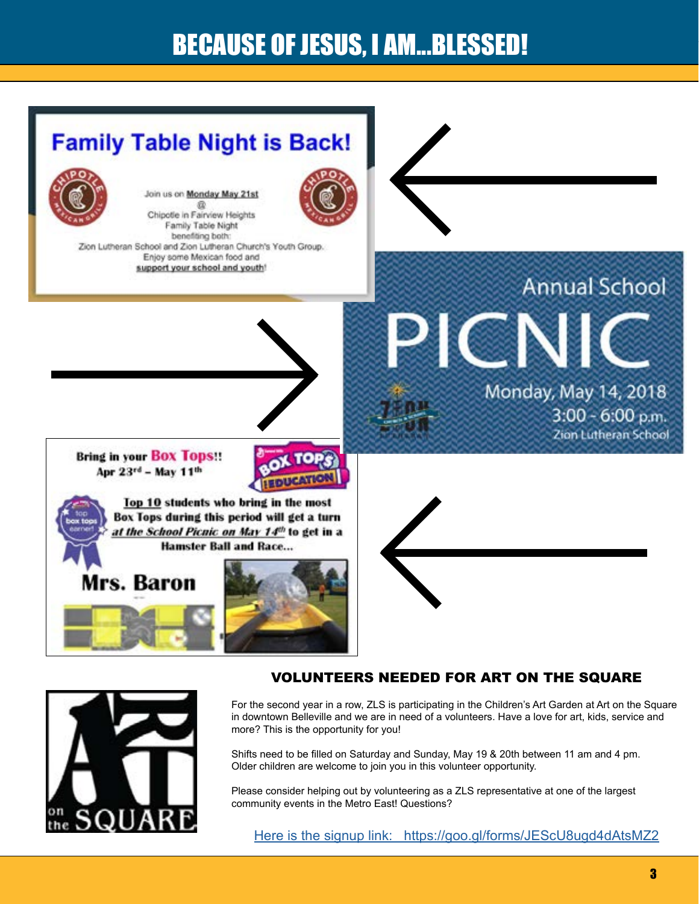### BECAUSE OF JESUS, I AM...BLESSED!





#### VOLUNTEERS NEEDED FOR ART ON THE SQUARE

For the second year in a row, ZLS is participating in the Children's Art Garden at Art on the Square in downtown Belleville and we are in need of a volunteers. Have a love for art, kids, service and more? This is the opportunity for you!

Shifts need to be filled on Saturday and Sunday, May 19 & 20th between 11 am and 4 pm. Older children are welcome to join you in this volunteer opportunity.

Please consider helping out by volunteering as a ZLS representative at one of the largest community events in the Metro East! Questions?

[Here is the signup link: https://goo.gl/forms/JEScU8ugd4dAtsMZ2](https://docs.google.com/forms/d/e/1FAIpQLScaALgneI01YBp-MeQabDV-ySvwzb0D4-OuAhPTDjTxeZflnw/viewform)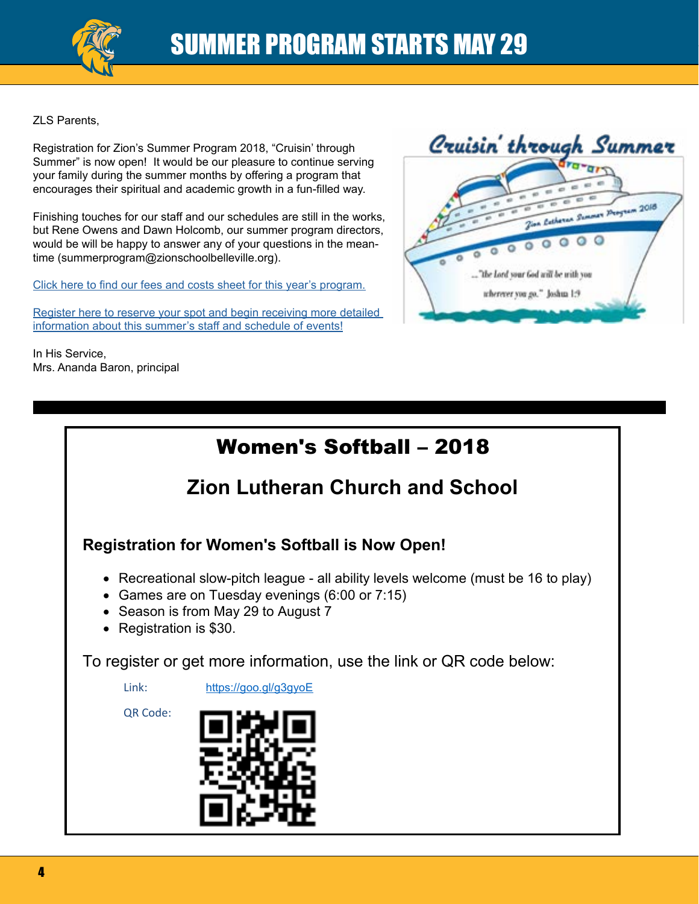

ZLS Parents,

Registration for Zion's Summer Program 2018, "Cruisin' through Summer" is now open! It would be our pleasure to continue serving your family during the summer months by offering a program that encourages their spiritual and academic growth in a fun-filled way.

Finishing touches for our staff and our schedules are still in the works, but Rene Owens and Dawn Holcomb, our summer program directors, would be will be happy to answer any of your questions in the meantime (summerprogram@zionschoolbelleville.org).

[Click here to find our fees and costs sheet for this year's program.](https://zionschoolbelleville.org/wp-content/uploads/2018/01/SummerProgramFlyer2018.pdf)

[Register here to reserve your spot and begin receiving more detailed](https://events.r20.constantcontact.com/register/eventReg?oeidk=a07efbae5oqae231bc7&oseq=&c=&ch=)  [information about this summer's staff and schedule of events!](https://events.r20.constantcontact.com/register/eventReg?oeidk=a07efbae5oqae231bc7&oseq=&c=&ch=)

In His Service, Mrs. Ananda Baron, principal



### Women's Softball – 2018

### **Zion Lutheran Church and School**

**Registration for Women's Softball is Now Open!**

- Recreational slow-pitch league all ability levels welcome (must be 16 to play)
- Games are on Tuesday evenings (6:00 or 7:15)
- Season is from May 29 to August 7
- Registration is \$30.

To register or get more information, use the link or QR code below:

Link: https://goo.gl/g3gyoE

QR Code:

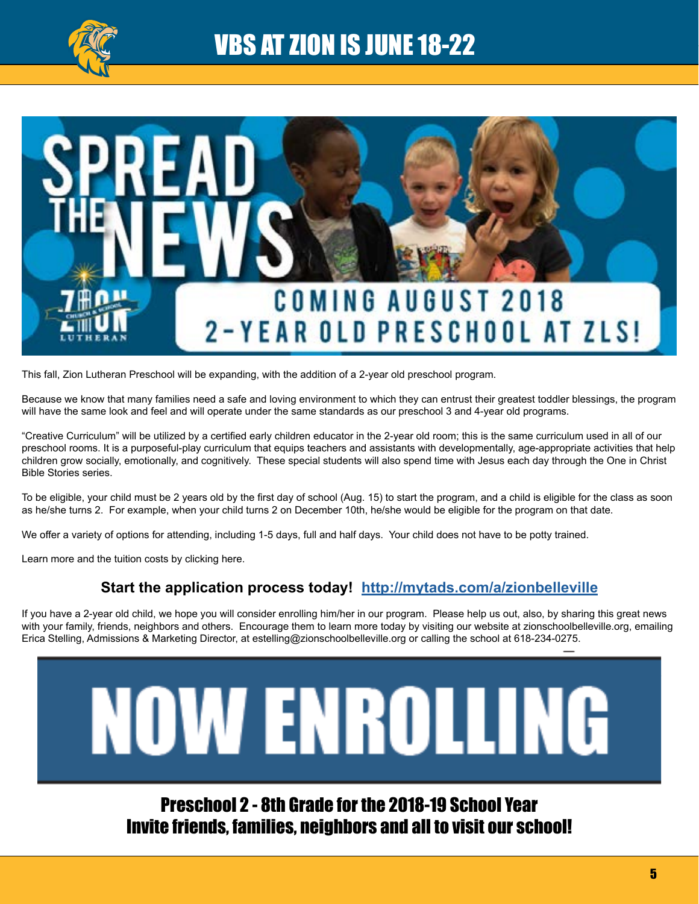

### VBS AT ZION IS JUNE 18-22



This fall, Zion Lutheran Preschool will be expanding, with the addition of a 2-year old preschool program.

Because we know that many families need a safe and loving environment to which they can entrust their greatest toddler blessings, the program will have the same look and feel and will operate under the same standards as our preschool 3 and 4-year old programs.

"Creative Curriculum" will be utilized by a certified early children educator in the 2-year old room; this is the same curriculum used in all of our preschool rooms. It is a purposeful-play curriculum that equips teachers and assistants with developmentally, age-appropriate activities that help children grow socially, emotionally, and cognitively. These special students will also spend time with Jesus each day through the One in Christ Bible Stories series.

To be eligible, your child must be 2 years old by the first day of school (Aug. 15) to start the program, and a child is eligible for the class as soon as he/she turns 2. For example, when your child turns 2 on December 10th, he/she would be eligible for the program on that date.

We offer a variety of options for attending, including 1-5 days, full and half days. Your child does not have to be potty trained.

Learn more and the tuition costs by clicking here.

#### **Start the application process today! <http://mytads.com/a/zionbelleville>**

If you have a 2-year old child, we hope you will consider enrolling him/her in our program. Please help us out, also, by sharing this great news with your family, friends, neighbors and others. Encourage them to learn more today by visiting our website at zionschoolbelleville.org, emailing Erica Stelling, Admissions & Marketing Director, at estelling@zionschoolbelleville.org or calling the school at 618-234-0275.



Preschool 2 - 8th Grade for the 2018-19 School Year Invite friends, families, neighbors and all to visit our school!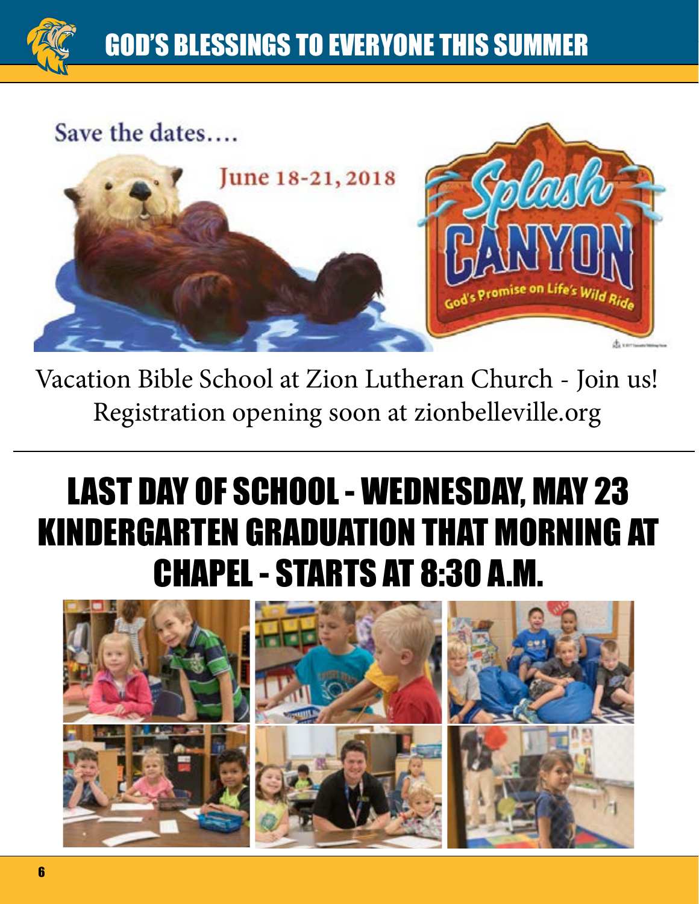## **GOD'S BLESSINGS TO EVERYONE THIS SUMMER**



Vacation Bible School at Zion Lutheran Church - Join us! Registration opening soon at zionbelleville.org

# LAST DAY OF SCHOOL - WEDNESDAY, MAY 23 KINDERGARTEN GRADUATION THAT MORNING AT CHAPEL - STARTS AT 8:30 A.M.

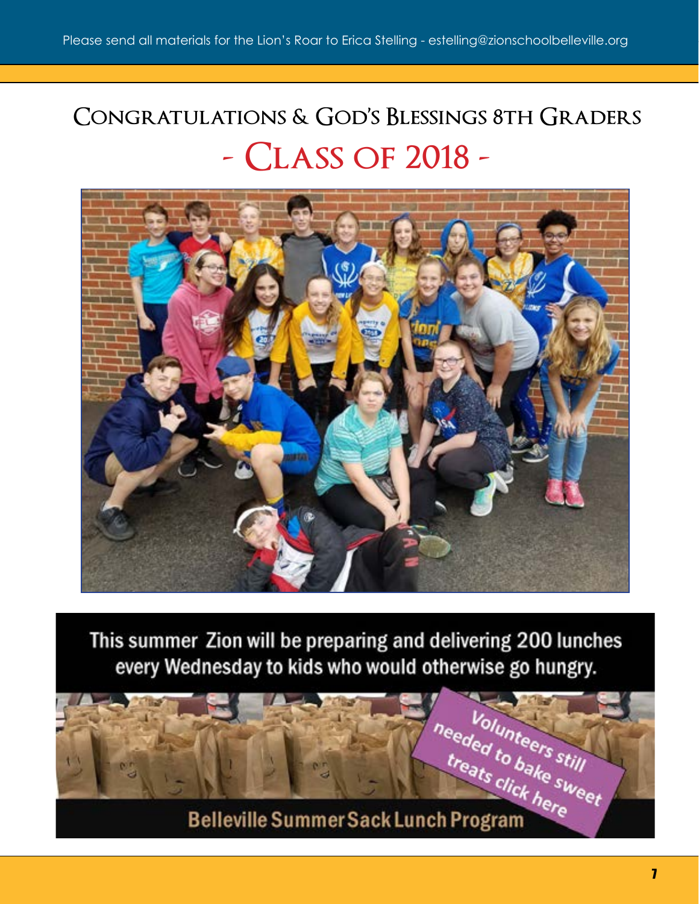# **Congratulations & God's Blessings 8th Graders - Class of 2018 -**



This summer Zion will be preparing and delivering 200 lunches every Wednesday to kids who would otherwise go hungry.

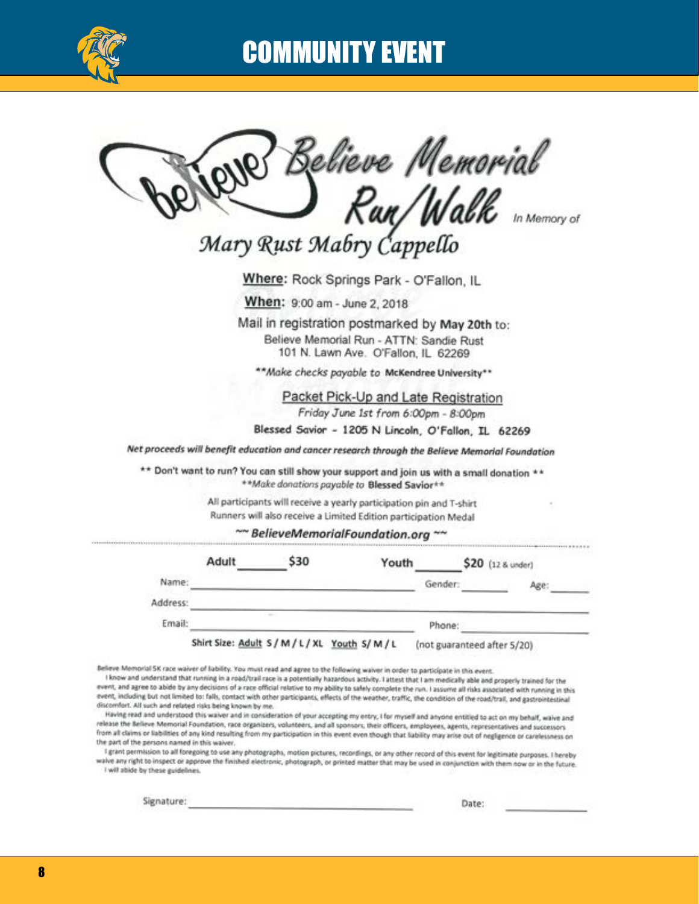

### COMMUNITY EVENT

Believe Memorial<br>**)** Run/Walk

Mary Rust Mabry Cappello

Where: Rock Springs Park - O'Fallon, IL

When: 9:00 am - June 2, 2018

Mail in registration postmarked by May 20th to: Believe Memorial Run - ATTN: Sandie Rust 101 N. Lawn Ave. O'Fallon, IL 62269

\*\* Make checks payable to McKendree University\*\*

Packet Pick-Up and Late Registration Friday June 1st from 6:00pm - 8:00pm

Blessed Savior - 1205 N Lincoln, O'Fallon, IL 62269

Net proceeds will benefit education and cancer research through the Believe Memorial Foundation

\*\* Don't want to run? You can still show your support and join us with a small donation \*\* \*\* Make donations payable to Blessed Savior\*\*

> All participants will receive a yearly participation pin and T-shirt Runners will also receive a Limited Edition participation Medal

> > ~~ BelieveMemorialFoundation.org ~~

|          | Adult                                           | \$30 | Youth |                             | \$20 (12 & under) |
|----------|-------------------------------------------------|------|-------|-----------------------------|-------------------|
| Name:    |                                                 |      |       | Gender:                     | Age:              |
| Address: |                                                 |      |       |                             |                   |
| Email:   |                                                 |      |       | Phone:                      |                   |
|          | Shirt Size: Adult S / M / L / XL Youth S/ M / L |      |       | (not guaranteed after 5/20) |                   |

Believe Memorial SK race waiver of liability. You must read and agree to the following waiver in order to participate in this event.

I know and understand that running in a road/trail race is a potentially hazardous activity. I attest that I am medically able and properly trained for the event, and agree to abide by any decisions of a race official relative to my ability to safely complete the run. I assume all risks associated with running in this event, including but not limited to: falls, contact with other participants, effects of the weather, traffic, the condition of the road/trail, and gastrointestinal discomfort. All such and related risks being known by me.

Having read and understood this waiver and in consideration of your accepting my entry, I for myself and anyone entitled to act on my behalf, waive and release the Believe Memorial Foundation, race organizers, volunteers, and all sponsors, their officers, employees, agents, representatives and successors from all claims or liabilities of any kind resulting from my participation in this event even though that liability may arise out of negligence or carelessness on the part of the persons named in this waiver.

I grant permission to all foregoing to use any photographs, motion pictures, recordings, or any other record of this event for legitimate purposes. I hereby wave any right to inspect or approve the finished electronic, photograph, or printed matter that may be used in conjunction with them now or in the future. I will abide by these guidelines.

Signature: